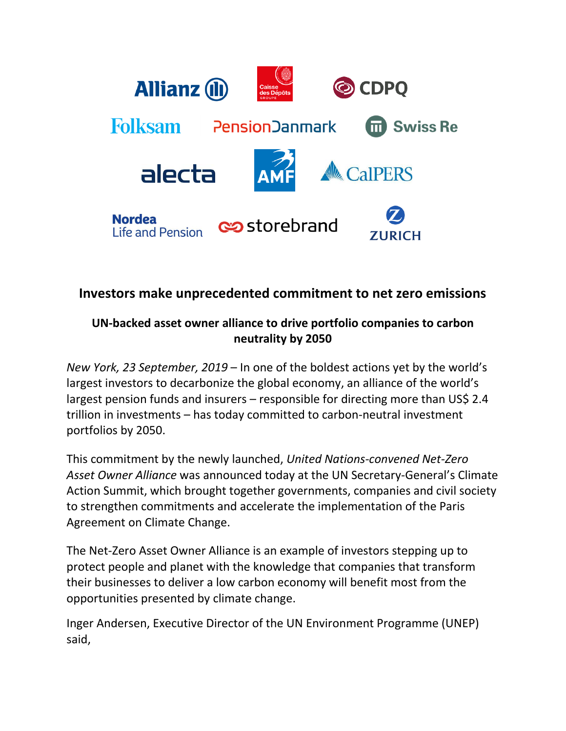

# **Investors make unprecedented commitment to net zero emissions**

## **UN-backed asset owner alliance to drive portfolio companies to carbon neutrality by 2050**

*New York, 23 September, 2019* – In one of the boldest actions yet by the world's largest investors to decarbonize the global economy, an alliance of the world's largest pension funds and insurers – responsible for directing more than US\$ 2.4 trillion in investments – has today committed to carbon-neutral investment portfolios by 2050.

This commitment by the newly launched, *United Nations-convened Net-Zero Asset Owner Alliance* was announced today at the UN Secretary-General's Climate Action Summit, which brought together governments, companies and civil society to strengthen commitments and accelerate the implementation of the Paris Agreement on Climate Change.

The Net-Zero Asset Owner Alliance is an example of investors stepping up to protect people and planet with the knowledge that companies that transform their businesses to deliver a low carbon economy will benefit most from the opportunities presented by climate change.

Inger Andersen, Executive Director of the UN Environment Programme (UNEP) said,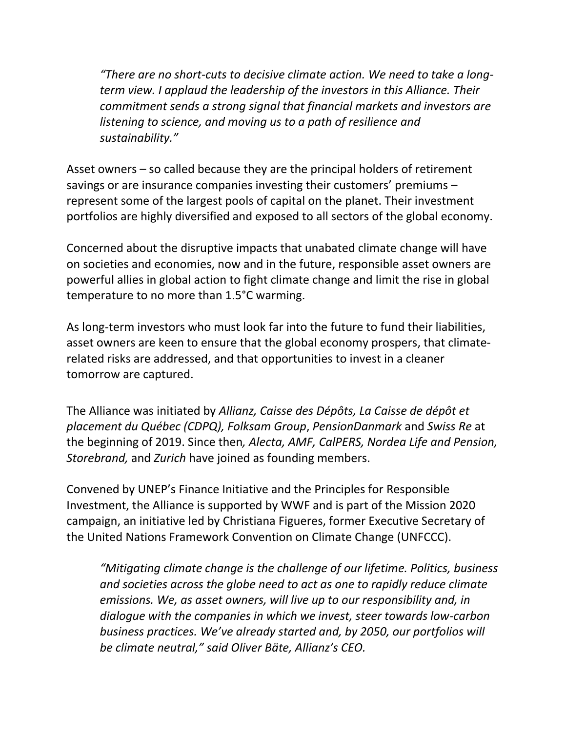*"There are no short-cuts to decisive climate action. We need to take a longterm view. I applaud the leadership of the investors in this Alliance. Their commitment sends a strong signal that financial markets and investors are listening to science, and moving us to a path of resilience and sustainability."* 

Asset owners – so called because they are the principal holders of retirement savings or are insurance companies investing their customers' premiums – represent some of the largest pools of capital on the planet. Their investment portfolios are highly diversified and exposed to all sectors of the global economy.

Concerned about the disruptive impacts that unabated climate change will have on societies and economies, now and in the future, responsible asset owners are powerful allies in global action to fight climate change and limit the rise in global temperature to no more than 1.5°C warming.

As long-term investors who must look far into the future to fund their liabilities, asset owners are keen to ensure that the global economy prospers, that climaterelated risks are addressed, and that opportunities to invest in a cleaner tomorrow are captured.

The Alliance was initiated by *Allianz, Caisse des Dépôts, La Caisse de dépôt et placement du Québec (CDPQ), Folksam Group*, *PensionDanmark* and *Swiss Re* at the beginning of 2019. Since then*, Alecta, AMF, CalPERS, Nordea Life and Pension, Storebrand,* and *Zurich* have joined as founding members.

Convened by UNEP's Finance Initiative and the Principles for Responsible Investment, the Alliance is supported by WWF and is part of the Mission 2020 campaign, an initiative led by Christiana Figueres, former Executive Secretary of the United Nations Framework Convention on Climate Change (UNFCCC).

*"Mitigating climate change is the challenge of our lifetime. Politics, business and societies across the globe need to act as one to rapidly reduce climate emissions. We, as asset owners, will live up to our responsibility and, in dialogue with the companies in which we invest, steer towards low-carbon business practices. We've already started and, by 2050, our portfolios will be climate neutral," said Oliver Bäte, Allianz's CEO.*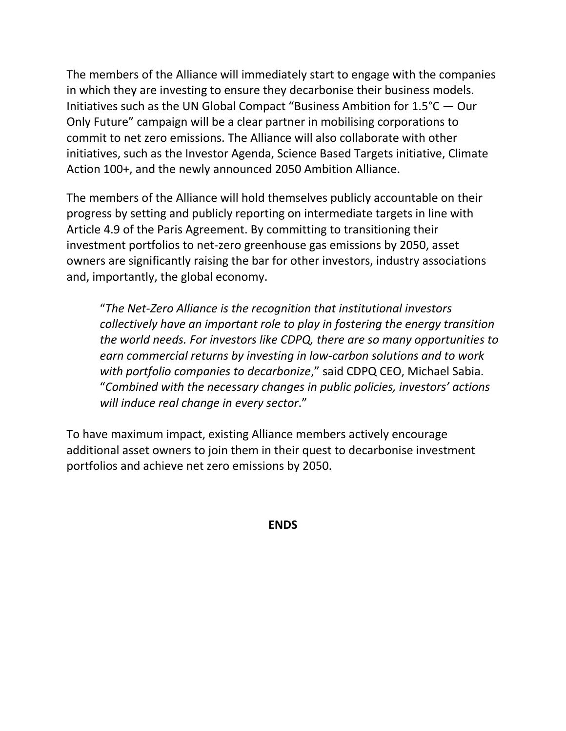The members of the Alliance will immediately start to engage with the companies in which they are investing to ensure they decarbonise their business models. Initiatives such as the UN Global Compact "Business Ambition for 1.5°C — Our Only Future" campaign will be a clear partner in mobilising corporations to commit to net zero emissions. The Alliance will also collaborate with other initiatives, such as the Investor Agenda, Science Based Targets initiative, Climate Action 100+, and the newly announced 2050 Ambition Alliance.

The members of the Alliance will hold themselves publicly accountable on their progress by setting and publicly reporting on intermediate targets in line with Article 4.9 of the Paris Agreement. By committing to transitioning their investment portfolios to net-zero greenhouse gas emissions by 2050, asset owners are significantly raising the bar for other investors, industry associations and, importantly, the global economy.

"*The Net-Zero Alliance is the recognition that institutional investors collectively have an important role to play in fostering the energy transition the world needs. For investors like CDPQ, there are so many opportunities to earn commercial returns by investing in low-carbon solutions and to work with portfolio companies to decarbonize*," said CDPQ CEO, Michael Sabia. "*Combined with the necessary changes in public policies, investors' actions will induce real change in every sector*."

To have maximum impact, existing Alliance members actively encourage additional asset owners to join them in their quest to decarbonise investment portfolios and achieve net zero emissions by 2050.

**ENDS**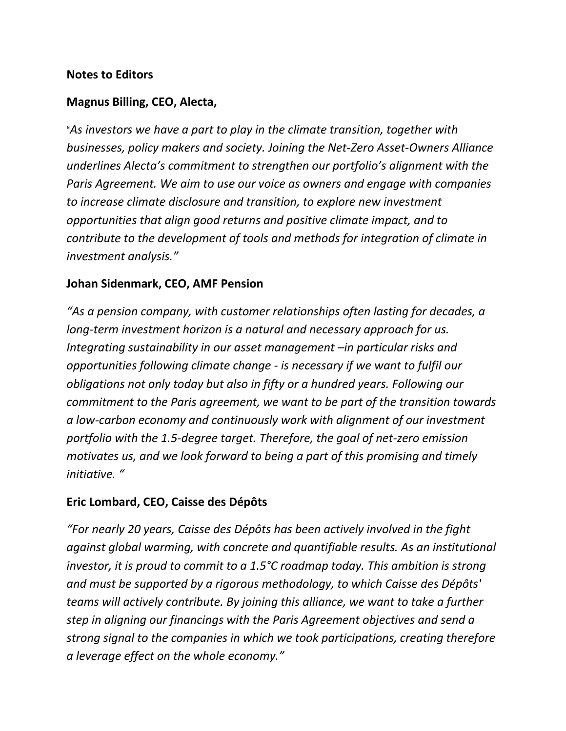#### **Notes to Editors**

#### **Magnus Billing, CEO, Alecta,**

"*As investors we have a part to play in the climate transition, together with businesses, policy makers and society. Joining the Net-Zero Asset-Owners Alliance underlines Alecta's commitment to strengthen our portfolio's alignment with the Paris Agreement. We aim to use our voice as owners and engage with companies to increase climate disclosure and transition, to explore new investment opportunities that align good returns and positive climate impact, and to contribute to the development of tools and methods for integration of climate in investment analysis."*

#### **Johan Sidenmark, CEO, AMF Pension**

*"As a pension company, with customer relationships often lasting for decades, a long-term investment horizon is a natural and necessary approach for us. Integrating sustainability in our asset management –in particular risks and opportunities following climate change - is necessary if we want to fulfil our obligations not only today but also in fifty or a hundred years. Following our commitment to the Paris agreement, we want to be part of the transition towards a low-carbon economy and continuously work with alignment of our investment portfolio with the 1.5-degree target. Therefore, the goal of net-zero emission motivates us, and we look forward to being a part of this promising and timely initiative. "*

#### **Eric Lombard, CEO, Caisse des Dépôts**

*"For nearly 20 years, Caisse des Dépôts has been actively involved in the fight against global warming, with concrete and quantifiable results. As an institutional investor, it is proud to commit to a 1.5°C roadmap today. This ambition is strong and must be supported by a rigorous methodology, to which Caisse des Dépôts' teams will actively contribute. By joining this alliance, we want to take a further step in aligning our financings with the Paris Agreement objectives and send a strong signal to the companies in which we took participations, creating therefore a leverage effect on the whole economy."*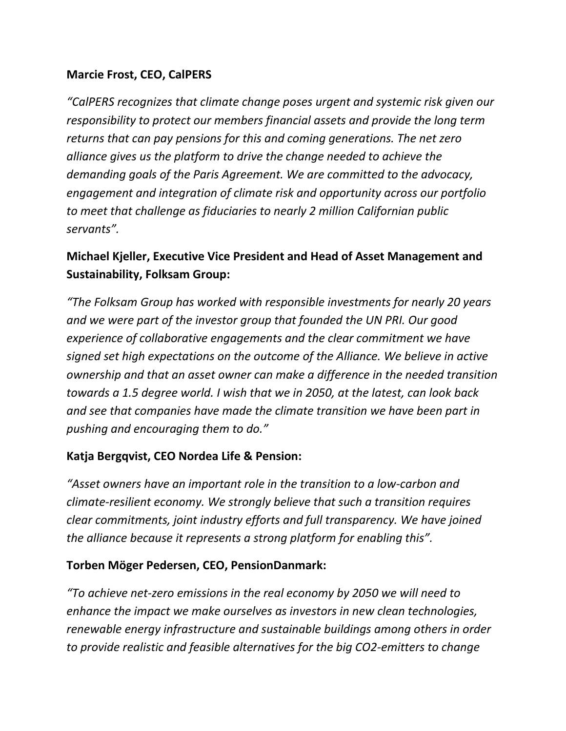### **Marcie Frost, CEO, CalPERS**

*"CalPERS recognizes that climate change poses urgent and systemic risk given our responsibility to protect our members financial assets and provide the long term returns that can pay pensions for this and coming generations. The net zero alliance gives us the platform to drive the change needed to achieve the demanding goals of the Paris Agreement. We are committed to the advocacy, engagement and integration of climate risk and opportunity across our portfolio to meet that challenge as fiduciaries to nearly 2 million Californian public servants".*

# **Michael Kjeller, Executive Vice President and Head of Asset Management and Sustainability, Folksam Group:**

*"The Folksam Group has worked with responsible investments for nearly 20 years and we were part of the investor group that founded the UN PRI. Our good experience of collaborative engagements and the clear commitment we have signed set high expectations on the outcome of the Alliance. We believe in active ownership and that an asset owner can make a difference in the needed transition towards a 1.5 degree world. I wish that we in 2050, at the latest, can look back and see that companies have made the climate transition we have been part in pushing and encouraging them to do."*

### **Katja Bergqvist, CEO Nordea Life & Pension:**

*"Asset owners have an important role in the transition to a low-carbon and climate-resilient economy. We strongly believe that such a transition requires clear commitments, joint industry efforts and full transparency. We have joined the alliance because it represents a strong platform for enabling this".*

### **Torben Möger Pedersen, CEO, PensionDanmark:**

*"To achieve net-zero emissions in the real economy by 2050 we will need to enhance the impact we make ourselves as investors in new clean technologies, renewable energy infrastructure and sustainable buildings among others in order to provide realistic and feasible alternatives for the big CO2-emitters to change*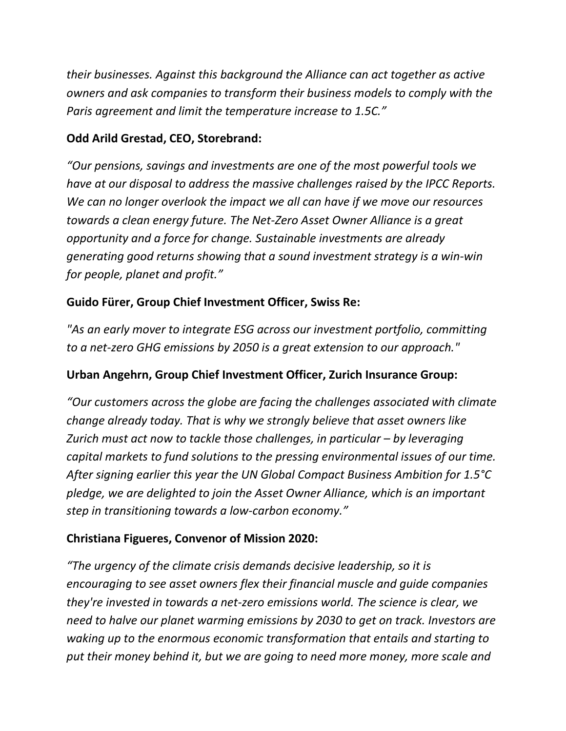*their businesses. Against this background the Alliance can act together as active owners and ask companies to transform their business models to comply with the Paris agreement and limit the temperature increase to 1.5C."* 

### **Odd Arild Grestad, CEO, Storebrand:**

*"Our pensions, savings and investments are one of the most powerful tools we have at our disposal to address the massive challenges raised by the IPCC Reports. We can no longer overlook the impact we all can have if we move our resources towards a clean energy future. The Net-Zero Asset Owner Alliance is a great opportunity and a force for change. Sustainable investments are already generating good returns showing that a sound investment strategy is a win-win for people, planet and profit."*

#### **Guido Fürer, Group Chief Investment Officer, Swiss Re:**

*"As an early mover to integrate ESG across our investment portfolio, committing to a net-zero GHG emissions by 2050 is a great extension to our approach."*

#### **Urban Angehrn, Group Chief Investment Officer, Zurich Insurance Group:**

*"Our customers across the globe are facing the challenges associated with climate change already today. That is why we strongly believe that asset owners like Zurich must act now to tackle those challenges, in particular – by leveraging capital markets to fund solutions to the pressing environmental issues of our time. After signing earlier this year the UN Global Compact Business Ambition for 1.5°C pledge, we are delighted to join the Asset Owner Alliance, which is an important step in transitioning towards a low-carbon economy."*

#### **Christiana Figueres, Convenor of Mission 2020:**

*"The urgency of the climate crisis demands decisive leadership, so it is encouraging to see asset owners flex their financial muscle and guide companies they're invested in towards a net-zero emissions world. The science is clear, we need to halve our planet warming emissions by 2030 to get on track. Investors are waking up to the enormous economic transformation that entails and starting to put their money behind it, but we are going to need more money, more scale and*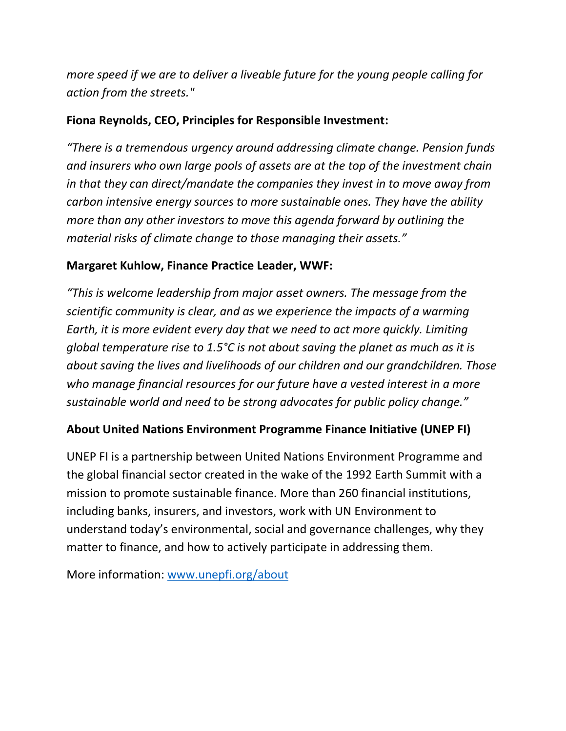*more speed if we are to deliver a liveable future for the young people calling for action from the streets."*

### **Fiona Reynolds, CEO, Principles for Responsible Investment:**

*"There is a tremendous urgency around addressing climate change. Pension funds and insurers who own large pools of assets are at the top of the investment chain in that they can direct/mandate the companies they invest in to move away from carbon intensive energy sources to more sustainable ones. They have the ability more than any other investors to move this agenda forward by outlining the material risks of climate change to those managing their assets."*

### **Margaret Kuhlow, Finance Practice Leader, WWF:**

*"This is welcome leadership from major asset owners. The message from the scientific community is clear, and as we experience the impacts of a warming Earth, it is more evident every day that we need to act more quickly. Limiting global temperature rise to 1.5°C is not about saving the planet as much as it is about saving the lives and livelihoods of our children and our grandchildren. Those who manage financial resources for our future have a vested interest in a more sustainable world and need to be strong advocates for public policy change."*

### **About United Nations Environment Programme Finance Initiative (UNEP FI)**

UNEP FI is a partnership between United Nations Environment Programme and the global financial sector created in the wake of the 1992 Earth Summit with a mission to promote sustainable finance. More than 260 financial institutions, including banks, insurers, and investors, work with UN Environment to understand today's environmental, social and governance challenges, why they matter to finance, and how to actively participate in addressing them.

More information: [www.unepfi.org/about](http://www.unepfi.org/about)